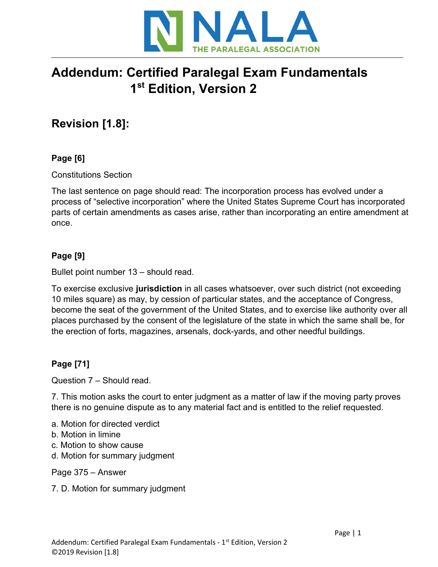

# Addendum: Certified Paralegal Exam Fundamentals 1st Edition, Version 2

## Revision [1.8]:

## Page [6]

Constitutions Section

The last sentence on page should read: The incorporation process has evolved under a process of "selective incorporation" where the United States Supreme Court has incorporated parts of certain amendments as cases arise, rather than incorporating an entire amendment at once.

## Page [9]

Bullet point number 13 – should read.

To exercise exclusive jurisdiction in all cases whatsoever, over such district (not exceeding 10 miles square) as may, by cession of particular states, and the acceptance of Congress, become the seat of the government of the United States, and to exercise like authority over all places purchased by the consent of the legislature of the state in which the same shall be, for the erection of forts, magazines, arsenals, dock-yards, and other needful buildings.

## Page [71]

Question 7 – Should read.

7. This motion asks the court to enter judgment as a matter of law if the moving party proves there is no genuine dispute as to any material fact and is entitled to the relief requested.

- a. Motion for directed verdict
- b. Motion in limine
- c. Motion to show cause
- d. Motion for summary judgment

Page 375 – Answer

7. D. Motion for summary judgment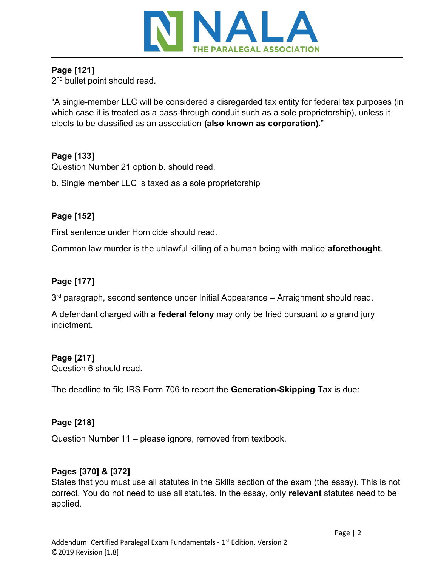

## Page [121]

2<sup>nd</sup> bullet point should read.

"A single-member LLC will be considered a disregarded tax entity for federal tax purposes (in which case it is treated as a pass-through conduit such as a sole proprietorship), unless it elects to be classified as an association (also known as corporation)."

## Page [133]

Question Number 21 option b. should read.

b. Single member LLC is taxed as a sole proprietorship

## Page [152]

First sentence under Homicide should read.

Common law murder is the unlawful killing of a human being with malice aforethought.

## Page [177]

3<sup>rd</sup> paragraph, second sentence under Initial Appearance – Arraignment should read.

A defendant charged with a **federal felony** may only be tried pursuant to a grand jury indictment.

## Page [217]

Question 6 should read.

The deadline to file IRS Form 706 to report the Generation-Skipping Tax is due:

#### Page [218]

Question Number 11 – please ignore, removed from textbook.

#### Pages [370] & [372]

States that you must use all statutes in the Skills section of the exam (the essay). This is not correct. You do not need to use all statutes. In the essay, only relevant statutes need to be applied.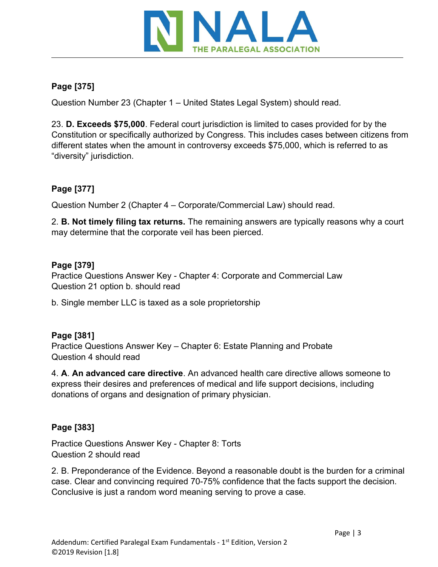

#### Page [375]

Question Number 23 (Chapter 1 – United States Legal System) should read.

23. D. Exceeds \$75,000. Federal court jurisdiction is limited to cases provided for by the Constitution or specifically authorized by Congress. This includes cases between citizens from different states when the amount in controversy exceeds \$75,000, which is referred to as "diversity" jurisdiction.

## Page [377]

Question Number 2 (Chapter 4 – Corporate/Commercial Law) should read.

2. B. Not timely filing tax returns. The remaining answers are typically reasons why a court may determine that the corporate veil has been pierced.

#### Page [379]

Practice Questions Answer Key - Chapter 4: Corporate and Commercial Law Question 21 option b. should read

b. Single member LLC is taxed as a sole proprietorship

#### Page [381]

Practice Questions Answer Key – Chapter 6: Estate Planning and Probate Question 4 should read

4. A. An advanced care directive. An advanced health care directive allows someone to express their desires and preferences of medical and life support decisions, including donations of organs and designation of primary physician.

## Page [383]

Practice Questions Answer Key - Chapter 8: Torts Question 2 should read

2. B. Preponderance of the Evidence. Beyond a reasonable doubt is the burden for a criminal case. Clear and convincing required 70-75% confidence that the facts support the decision. Conclusive is just a random word meaning serving to prove a case.